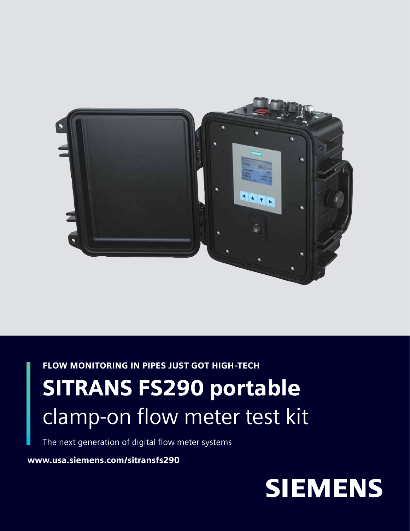

FLOW MONITORING IN PIPES JUST GOT HIGH-TECH

# SITRANS FS290 portable clamp-on flow meter test kit

The next generation of digital flow meter systems

www.usa.siemens.com/sitransfs290

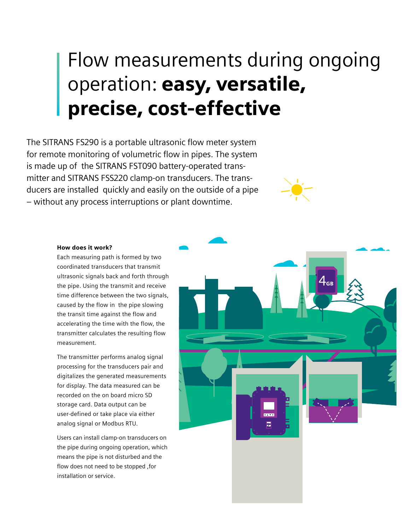# Flow measurements during ongoing operation: easy, versatile, precise, cost-effective

The SITRANS FS290 is a portable ultrasonic flow meter system for remote monitoring of volumetric flow in pipes. The system is made up of the SITRANS FST090 battery-operated transmitter and SITRANS FSS220 clamp-on transducers. The transducers are installed quickly and easily on the outside of a pipe – without any process interruptions or plant downtime.



#### How does it work?

Each measuring path is formed by two coordinated transducers that transmit ultrasonic signals back and forth through the pipe. Using the transmit and receive time difference between the two signals, caused by the flow in the pipe slowing the transit time against the flow and accelerating the time with the flow, the transmitter calculates the resulting flow measurement.

The transmitter performs analog signal processing for the transducers pair and digitalizes the generated measurements for display. The data measured can be recorded on the on board micro SD storage card. Data output can be user-defined or take place via either analog signal or Modbus RTU.

Users can install clamp-on transducers on the pipe during ongoing operation, which means the pipe is not disturbed and the flow does not need to be stopped ,for installation or service.

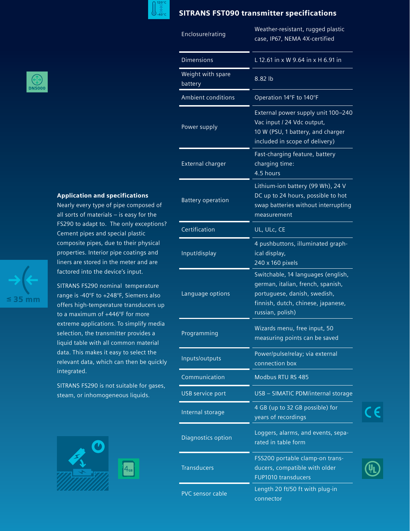

## SITRANS FST090 transmitter specifications

| Enclosure/rating             | Weather-resistant, rugged plastic<br>case, IP67, NEMA 4X-certified                                                                                                |  |  |  |
|------------------------------|-------------------------------------------------------------------------------------------------------------------------------------------------------------------|--|--|--|
| <b>Dimensions</b>            | L 12.61 in x W 9.64 in x H 6.91 in                                                                                                                                |  |  |  |
| Weight with spare<br>battery | 8.82 lb                                                                                                                                                           |  |  |  |
| <b>Ambient conditions</b>    | Operation 14°F to 140°F                                                                                                                                           |  |  |  |
| Power supply                 | External power supply unit 100-240<br>Vac input / 24 Vdc output,<br>10 W (PSU, 1 battery, and charger<br>included in scope of delivery)                           |  |  |  |
| <b>External charger</b>      | Fast-charging feature, battery<br>charging time:<br>4.5 hours                                                                                                     |  |  |  |
| <b>Battery operation</b>     | Lithium-ion battery (99 Wh), 24 V<br>DC up to 24 hours, possible to hot<br>swap batteries without interrupting<br>measurement                                     |  |  |  |
| Certification                | UL, ULc, CE                                                                                                                                                       |  |  |  |
| Input/display                | 4 pushbuttons, illuminated graph-<br>ical display,<br>240 x 160 pixels                                                                                            |  |  |  |
| Language options             | Switchable, 14 languages (english,<br>german, italian, french, spanish,<br>portuguese, danish, swedish,<br>finnish, dutch, chinese, japanese,<br>russian, polish) |  |  |  |
| Programming                  | Wizards menu, free input, 50<br>measuring points can be saved                                                                                                     |  |  |  |
| Inputs/outputs               | Power/pulse/relay; via external<br>connection box                                                                                                                 |  |  |  |
| Communication                | Modbus RTU RS 485                                                                                                                                                 |  |  |  |
| <b>USB service port</b>      | USB - SIMATIC PDM/internal storage                                                                                                                                |  |  |  |
| Internal storage             | 4 GB (up to 32 GB possible) for<br>years of recordings                                                                                                            |  |  |  |
| Diagnostics option           | Loggers, alarms, and events, sepa-<br>rated in table form                                                                                                         |  |  |  |
| <b>Transducers</b>           | FSS200 portable clamp-on trans-<br>ducers, compatible with older<br><b>FUP1010 transducers</b>                                                                    |  |  |  |
| PVC sensor cable             | Length 20 ft/50 ft with plug-in<br>connector                                                                                                                      |  |  |  |

CE



## Application and specifications

Nearly every type of pipe composed of all sorts of materials – is easy for the FS290 to adapt to. The only exceptions? Cement pipes and special plastic composite pipes, due to their physical properties. Interior pipe coatings and liners are stored in the meter and are factored into the device's input.

SITRANS FS290 nominal temperature range is -40°F to +248°F, Siemens also offers high-temperature transducers up to a maximum of +446°F for more extreme applications. To simplify media selection, the transmitter provides a liquid table with all common material data. This makes it easy to select the relevant data, which can then be quickly integrated.

SITRANS FS290 is not suitable for gases, steam, or inhomogeneous liquids.





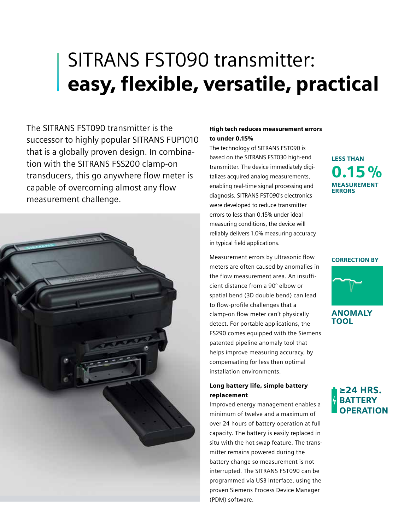## SITRANS FST090 transmitter: easy, flexible, versatile, practical

The SITRANS FST090 transmitter is the successor to highly popular SITRANS FUP1010 that is a globally proven design. In combination with the SITRANS FSS200 clamp-on transducers, this go anywhere flow meter is capable of overcoming almost any flow measurement challenge.



### High tech reduces measurement errors to under 0.15%

The technology of SITRANS FST090 is based on the SITRANS FST030 high-end transmitter. The device immediately digitalizes acquired analog measurements, enabling real-time signal processing and diagnosis. SITRANS FST090's electronics were developed to reduce transmitter errors to less than 0.15% under ideal measuring conditions, the device will reliably delivers 1.0% measuring accuracy in typical field applications.

Measurement errors by ultrasonic flow meters are often caused by anomalies in the flow measurement area. An insufficient distance from a 90° elbow or spatial bend (3D double bend) can lead to flow-profile challenges that a clamp-on flow meter can't physically detect. For portable applications, the FS290 comes equipped with the Siemens patented pipeline anomaly tool that helps improve measuring accuracy, by compensating for less then optimal installation environments.

### Long battery life, simple battery replacement

Improved energy management enables a minimum of twelve and a maximum of over 24 hours of battery operation at full capacity. The battery is easily replaced in situ with the hot swap feature. The transmitter remains powered during the battery change so measurement is not interrupted. The SITRANS FST090 can be programmed via USB interface, using the proven Siemens Process Device Manager (PDM) software.

MEASUREMENT **ERRORS**  $0.15\%$ LESS THAN

### CORRECTION BY



ANOMALY TOOL

## ≥24 HRS. **BATTERY OPERATION**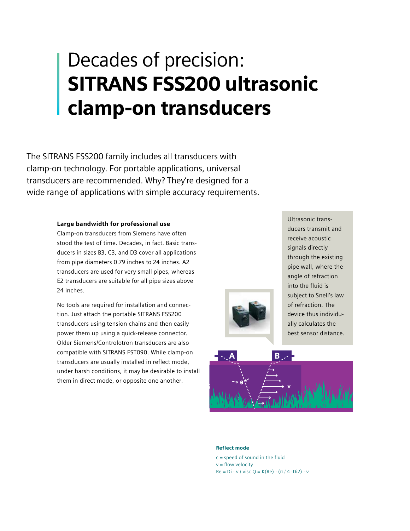# Decades of precision: SITRANS FSS200 ultrasonic clamp-on transducers

The SITRANS FSS200 family includes all transducers with clamp-on technology. For portable applications, universal transducers are recommended. Why? They're designed for a wide range of applications with simple accuracy requirements.

### Large bandwidth for professional use

Clamp-on transducers from Siemens have often stood the test of time. Decades, in fact. Basic transducers in sizes B3, C3, and D3 cover all applications from pipe diameters 0.79 inches to 24 inches. A2 transducers are used for very small pipes, whereas E2 transducers are suitable for all pipe sizes above 24 inches.

No tools are required for installation and connection. Just attach the portable SITRANS FSS200 transducers using tension chains and then easily power them up using a quick-release connector. Older Siemens/Controlotron transducers are also compatible with SITRANS FST090. While clamp-on transducers are usually installed in reflect mode, under harsh conditions, it may be desirable to install them in direct mode, or opposite one another.

Ultrasonic transducers transmit and receive acoustic signals directly through the existing pipe wall, where the angle of refraction into the fluid is subject to Snell's law of refraction. The device thus individually calculates the best sensor distance.



#### Reflect mode

 $c =$  speed of sound in the fluid  $v =$  flow velocity  $Re = Di \cdot v / visc$  Q = K(Re)  $\cdot (\pi / 4 \cdot Di2) \cdot v$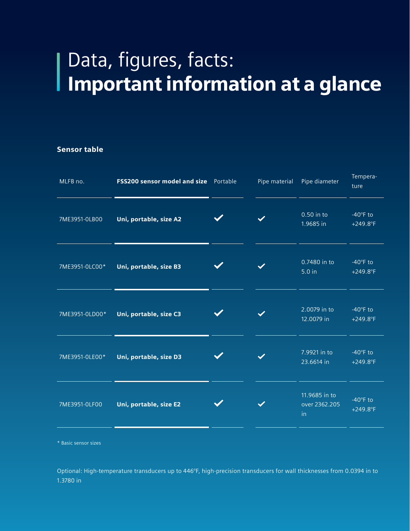# Data, figures, facts: Important information at a glance

### Sensor table

I

|                        | Pipe material                         | Pipe diameter                        | Tempera-<br>ture                            |
|------------------------|---------------------------------------|--------------------------------------|---------------------------------------------|
| Uni, portable, size A2 |                                       | 0.50 in to<br>1.9685 in              | $-40^\circ F$ to<br>$+249.8$ °F             |
| Uni, portable, size B3 |                                       | 0.7480 in to<br>5.0 in               | $-40^\circ F$ to<br>$+249.8$ °F             |
| Uni, portable, size C3 |                                       | 2.0079 in to<br>12.0079 in           | $-40^\circ F$ to<br>$+249.8$ °F             |
| Uni, portable, size D3 |                                       | 7.9921 in to<br>23.6614 in           | $-40^\circ F$ to<br>$+249.8$ °F             |
| Uni, portable, size E2 |                                       | 11.9685 in to<br>over 2362.205<br>in | $-40^\circ F$ to<br>$+249.8$ <sup>°</sup> F |
|                        | FSS200 sensor model and size Portable |                                      |                                             |

\* Basic sensor sizes

Optional: High-temperature transducers up to 446°F, high-precision transducers for wall thicknesses from 0.0394 in to 1.3780 in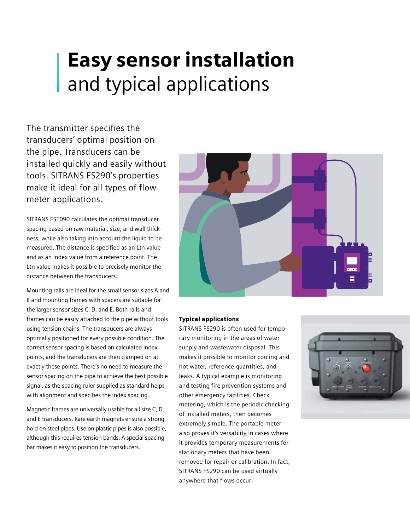# Easy sensor installation and typical applications

The transmitter specifies the transducers' optimal position on the pipe. Transducers can be installed quickly and easily without tools. SITRANS FS290's properties make it ideal for all types of flow meter applications.

SITRANS FST090 calculates the optimal transducer spacing based on raw material, size, and wall thickness, while also taking into account the liquid to be measured. The distance is specified as an Ltn value and as an index value from a reference point. The Ltn value makes it possible to precisely monitor the distance between the transducers.

Mounting rails are ideal for the small sensor sizes A and B and mounting frames with spacers are suitable for the larger sensor sizes C, D, and E. Both rails and frames can be easily attached to the pipe without tools using tension chains. The transducers are always optimally positioned for every possible condition. The correct sensor spacing is based on calculated index points, and the transducers are then clamped on at exactly these points. There's no need to measure the sensor spacing on the pipe to achieve the best possible signal, as the spacing ruler supplied as standard helps with alignment and specifies the index spacing.

Magnetic frames are universally usable for all size C, D, and E transducers. Rare earth magnets ensure a strong hold on steel pipes. Use on plastic pipes is also possible, although this requires tension bands. A special spacing bar makes it easy to position the transducers.



### Typical applications

SITRANS FS290 is often used for temporary monitoring in the areas of water supply and wastewater disposal. This makes it possible to monitor cooling and hot water, reference quantities, and leaks. A typical example is monitoring and testing fire prevention systems and other emergency facilities. Check metering, which is the periodic checking of installed meters, then becomes extremely simple. The portable meter also proves it's versatility in cases where it provides temporary measurements for stationary meters that have been removed for repair or calibration. In fact, SITRANS FS290 can be used virtually anywhere that flows occur.